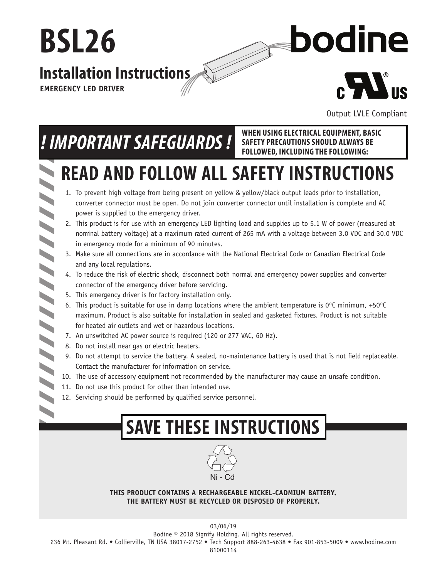

Output LVLE Compliant

**SAFETY PRECAUTIONS SHOULD ALWAYS BE FOLLOWED, INCLUDING THE FOLLOWING:**

# *! IMPORTANT SAFEGUARDS !* **WHEN USING ELECTRICAL EQUIPMENT, BASIC**

## **READ AND FOLLOW ALL SAFETY INSTRUCTIONS** Ñ

- 1. To prevent high voltage from being present on yellow & yellow/black output leads prior to installation, converter connector must be open. Do not join converter connector until installation is complete and AC power is supplied to the emergency driver.
- 2. This product is for use with an emergency LED lighting load and supplies up to 5.1 W of power (measured at nominal battery voltage) at a maximum rated current of 265 mA with a voltage between 3.0 VDC and 30.0 VDC in emergency mode for a minimum of 90 minutes.
- 3. Make sure all connections are in accordance with the National Electrical Code or Canadian Electrical Code and any local regulations.
- 4. To reduce the risk of electric shock, disconnect both normal and emergency power supplies and converter connector of the emergency driver before servicing.
- 5. This emergency driver is for factory installation only.
- 6. This product is suitable for use in damp locations where the ambient temperature is  $0^{\circ}$ C minimum, +50 $^{\circ}$ C maximum. Product is also suitable for installation in sealed and qasketed fixtures. Product is not suitable for heated air outlets and wet or hazardous locations.
- 7. An unswitched AC power source is required (120 or 277 VAC, 60 Hz).
- 8. Do not install near gas or electric heaters.

- 9. Do not attempt to service the battery. A sealed, no-maintenance battery is used that is not field replaceable. Contact the manufacturer for information on service.
- 10. The use of accessory equipment not recommended by the manufacturer may cause an unsafe condition.
- 11. Do not use this product for other than intended use.
- 12. Servicing should be performed by qualified service personnel.

## **SAVE THESE INSTRUCTIONS**



**THIS PRODUCT CONTAINS A RECHARGEABLE NICKEL-CADMIUM BATTERY. THE BATTERY MUST BE RECYCLED OR DISPOSED OF PROPERLY.**